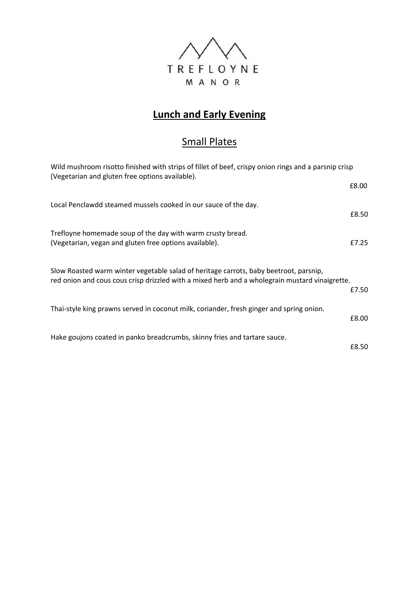

## **Lunch and Early Evening**

## Small Plates

| Wild mushroom risotto finished with strips of fillet of beef, crispy onion rings and a parsnip crisp<br>(Vegetarian and gluten free options available).                                 |       |
|-----------------------------------------------------------------------------------------------------------------------------------------------------------------------------------------|-------|
|                                                                                                                                                                                         | £8.00 |
| Local Penclawdd steamed mussels cooked in our sauce of the day.                                                                                                                         | £8.50 |
| Trefloyne homemade soup of the day with warm crusty bread.<br>(Vegetarian, vegan and gluten free options available).                                                                    | £7.25 |
| Slow Roasted warm winter vegetable salad of heritage carrots, baby beetroot, parsnip,<br>red onion and cous cous crisp drizzled with a mixed herb and a wholegrain mustard vinaigrette. | £7.50 |
| Thai-style king prawns served in coconut milk, coriander, fresh ginger and spring onion.                                                                                                | £8.00 |
| Hake goujons coated in panko breadcrumbs, skinny fries and tartare sauce.                                                                                                               | £8.50 |